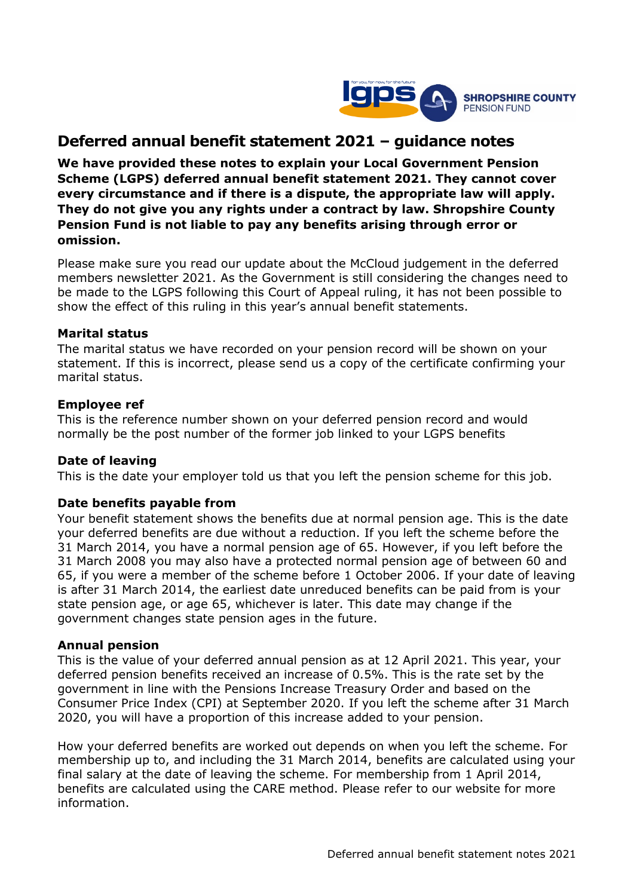

# **Deferred annual benefit statement 2021 – guidance notes**

**We have provided these notes to explain your Local Government Pension Scheme (LGPS) deferred annual benefit statement 2021. They cannot cover every circumstance and if there is a dispute, the appropriate law will apply. They do not give you any rights under a contract by law. Shropshire County Pension Fund is not liable to pay any benefits arising through error or omission.**

Please make sure you read our update about the McCloud judgement in the deferred members newsletter 2021. As the Government is still considering the changes need to be made to the LGPS following this Court of Appeal ruling, it has not been possible to show the effect of this ruling in this year's annual benefit statements.

## **Marital status**

The marital status we have recorded on your pension record will be shown on your statement. If this is incorrect, please send us a copy of the certificate confirming your marital status.

## **Employee ref**

This is the reference number shown on your deferred pension record and would normally be the post number of the former job linked to your LGPS benefits

# **Date of leaving**

This is the date your employer told us that you left the pension scheme for this job.

## **Date benefits payable from**

Your benefit statement shows the benefits due at normal pension age. This is the date your deferred benefits are due without a reduction. If you left the scheme before the 31 March 2014, you have a normal pension age of 65. However, if you left before the 31 March 2008 you may also have a protected normal pension age of between 60 and 65, if you were a member of the scheme before 1 October 2006. If your date of leaving is after 31 March 2014, the earliest date unreduced benefits can be paid from is your state pension age, or age 65, whichever is later. This date may change if the government changes state pension ages in the future.

## **Annual pension**

This is the value of your deferred annual pension as at 12 April 2021. This year, your deferred pension benefits received an increase of 0.5%. This is the rate set by the government in line with the Pensions Increase Treasury Order and based on the Consumer Price Index (CPI) at September 2020. If you left the scheme after 31 March 2020, you will have a proportion of this increase added to your pension.

How your deferred benefits are worked out depends on when you left the scheme. For membership up to, and including the 31 March 2014, benefits are calculated using your final salary at the date of leaving the scheme. For membership from 1 April 2014, benefits are calculated using the CARE method. Please refer to our website for more information.